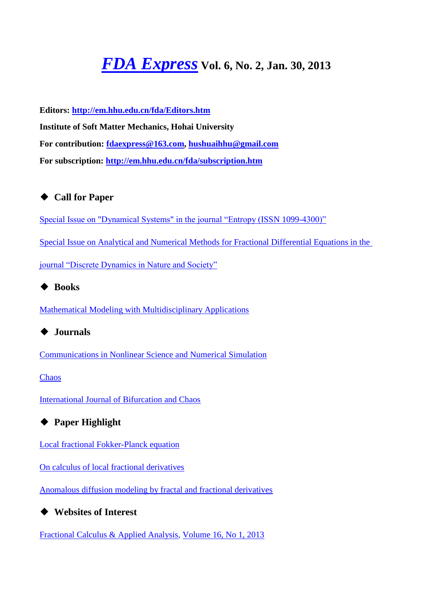# *[FDA Express](http://em.hhu.edu.cn/fda/index.htm)* **Vol. 6, No. 2, Jan. 30, 2013**

**Editors:<http://em.hhu.edu.cn/fda/Editors.htm> Institute of Soft Matter Mechanics, Hohai University For contribution: [fdaexpress@163.com,](mailto:fdaexpress@163.com) [hushuaihhu@gmail.com](mailto:fdaexpress@hhu.edu.cn) For subscription:<http://em.hhu.edu.cn/fda/subscription.htm>**

#### ◆ **Call for Paper**

[Special Issue on "Dynamical Systems" in the journal "Entropy \(ISSN 1099-4300\)"](file:///C:/Users/SHUAI/AppData/Local/Microsoft/Windows/Temporary%20Internet%20Files/FrontPageTempDir/pvw6.htm%23Special%20Issue%20on%20Dynamical%20Systems)

[Special Issue on Analytical and Numerical Methods for Fractional Differential Equations in the](file:///C:/Users/SHUAI/AppData/Local/Microsoft/Windows/Temporary%20Internet%20Files/FrontPageTempDir/pvw6.htm%23Special%20Issue%20on%20Analytical%20and%20Numerical%20Methods%20for%20Fractional%20Differential%20Equations) 

[journal "Discrete Dynamics in Nature and Society"](file:///C:/Users/SHUAI/AppData/Local/Microsoft/Windows/Temporary%20Internet%20Files/FrontPageTempDir/pvw6.htm%23Special%20Issue%20on%20Analytical%20and%20Numerical%20Methods%20for%20Fractional%20Differential%20Equations)

◆ **Books**

[Mathematical Modeling with Multidisciplinary Applications](file:///C:/Users/SHUAI/AppData/Local/Microsoft/Windows/Temporary%20Internet%20Files/FrontPageTempDir/pvw6.htm%23Mathematical%20Modeling%20with%20Multidisciplinary%20Applications)

◆ **Journals**

[Communications in Nonlinear Science and Numerical Simulation](file:///C:/Users/SHUAI/AppData/Local/Microsoft/Windows/Temporary%20Internet%20Files/FrontPageTempDir/pvw6.htm%23Communications%20in%20Nonlinear%20Science%20and%20Numerical%20Simulation)

**[Chaos](file:///C:/Users/SHUAI/AppData/Local/Microsoft/Windows/Temporary%20Internet%20Files/FrontPageTempDir/pvw6.htm%23Chaos)** 

[International Journal of Bifurcation and Chaos](file:///C:/Users/SHUAI/AppData/Local/Microsoft/Windows/Temporary%20Internet%20Files/FrontPageTempDir/pvw6.htm%23International%20Journal%20of%20Bifurcation%20and%20Chaos)

◆ **Paper Highlight**

[Local fractional Fokker-Planck equation](file:///C:/Users/SHUAI/AppData/Local/Microsoft/Windows/Temporary%20Internet%20Files/FrontPageTempDir/pvw6.htm%23Local%20Fractional%20Fokker-Planck%20Equation)

[On calculus of local fractional derivatives](file:///C:/Users/SHUAI/AppData/Local/Microsoft/Windows/Temporary%20Internet%20Files/FrontPageTempDir/pvw6.htm%23On%20calculus%20of%20local%20fractional%20derivatives)

[Anomalous diffusion modeling by fractal and fractional derivatives](file:///C:/Users/SHUAI/AppData/Local/Microsoft/Windows/Temporary%20Internet%20Files/FrontPageTempDir/pvw6.htm%23Anomalous%20diffusion%20modeling%20by%20fractal%20and%20fractional%20derivatives)

◆ **Websites of Interest**

[Fractional Calculus & Applied Analysis,](http://www.math.bas.bg/~fcaa/) [Volume 16, No 1, 2013](http://link.springer.com/journal/13540/15/4/page/1)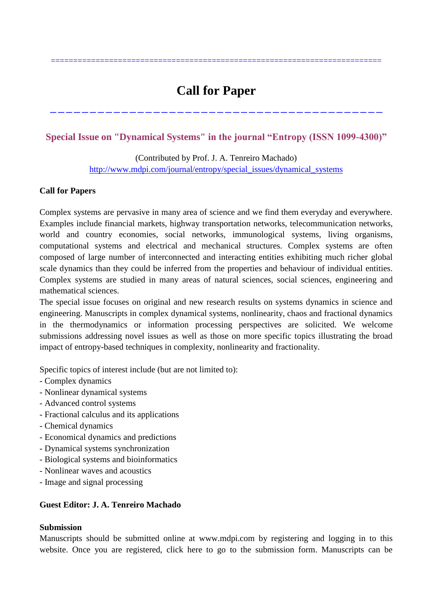# **Call for Paper**

------------------------------------------

==========================================================================

#### **Special Issue on "Dynamical Systems" in the journal "Entropy (ISSN 1099-4300)"**

(Contributed by Prof. J. A. Tenreiro Machado) [http://www.mdpi.com/journal/entropy/special\\_issues/dynamical\\_systems](http://www.mdpi.com/journal/entropy/special_issues/dynamical_systems)

#### **Call for Papers**

Complex systems are pervasive in many area of science and we find them everyday and everywhere. Examples include financial markets, highway transportation networks, telecommunication networks, world and country economies, social networks, immunological systems, living organisms, computational systems and electrical and mechanical structures. Complex systems are often composed of large number of interconnected and interacting entities exhibiting much richer global scale dynamics than they could be inferred from the properties and behaviour of individual entities. Complex systems are studied in many areas of natural sciences, social sciences, engineering and mathematical sciences.

The special issue focuses on original and new research results on systems dynamics in science and engineering. Manuscripts in complex dynamical systems, nonlinearity, chaos and fractional dynamics in the thermodynamics or information processing perspectives are solicited. We welcome submissions addressing novel issues as well as those on more specific topics illustrating the broad impact of entropy-based techniques in complexity, nonlinearity and fractionality.

Specific topics of interest include (but are not limited to):

- Complex dynamics
- Nonlinear dynamical systems
- Advanced control systems
- Fractional calculus and its applications
- Chemical dynamics
- Economical dynamics and predictions
- Dynamical systems synchronization
- Biological systems and bioinformatics
- Nonlinear waves and acoustics
- Image and signal processing

#### **Guest Editor: J. A. Tenreiro Machado**

#### **Submission**

Manuscripts should be submitted online at www.mdpi.com by registering and logging in to this website. Once you are registered, click here to go to the submission form. Manuscripts can be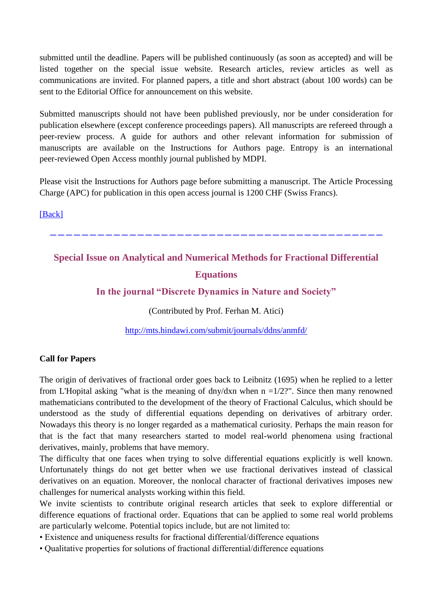submitted until the deadline. Papers will be published continuously (as soon as accepted) and will be listed together on the special issue website. Research articles, review articles as well as communications are invited. For planned papers, a title and short abstract (about 100 words) can be sent to the Editorial Office for announcement on this website.

Submitted manuscripts should not have been published previously, nor be under consideration for publication elsewhere (except conference proceedings papers). All manuscripts are refereed through a peer-review process. A guide for authors and other relevant information for submission of manuscripts are available on the Instructions for Authors page. Entropy is an international peer-reviewed Open Access monthly journal published by MDPI.

Please visit the Instructions for Authors page before submitting a manuscript. The Article Processing Charge (APC) for publication in this open access journal is 1200 CHF (Swiss Francs).

[\[Back\]](file:///C:/Users/SHUAI/AppData/Local/Microsoft/Windows/Temporary%20Internet%20Files/FrontPageTempDir/pvw6.htm%231)

------------------------------------------

## **Special Issue on Analytical and Numerical Methods for Fractional Differential Equations**

**In the journal "Discrete Dynamics in Nature and Society"**

(Contributed by Prof. Ferhan M. Atici)

<http://mts.hindawi.com/submit/journals/ddns/anmfd/>

#### **Call for Papers**

The origin of derivatives of fractional order goes back to Leibnitz (1695) when he replied to a letter from L'Hopital asking "what is the meaning of dny/dxn when  $n = 1/2$ ?". Since then many renowned mathematicians contributed to the development of the theory of Fractional Calculus, which should be understood as the study of differential equations depending on derivatives of arbitrary order. Nowadays this theory is no longer regarded as a mathematical curiosity. Perhaps the main reason for that is the fact that many researchers started to model real-world phenomena using fractional derivatives, mainly, problems that have memory.

The difficulty that one faces when trying to solve differential equations explicitly is well known. Unfortunately things do not get better when we use fractional derivatives instead of classical derivatives on an equation. Moreover, the nonlocal character of fractional derivatives imposes new challenges for numerical analysts working within this field.

We invite scientists to contribute original research articles that seek to explore differential or difference equations of fractional order. Equations that can be applied to some real world problems are particularly welcome. Potential topics include, but are not limited to:

- Existence and uniqueness results for fractional differential/difference equations
- Qualitative properties for solutions of fractional differential/difference equations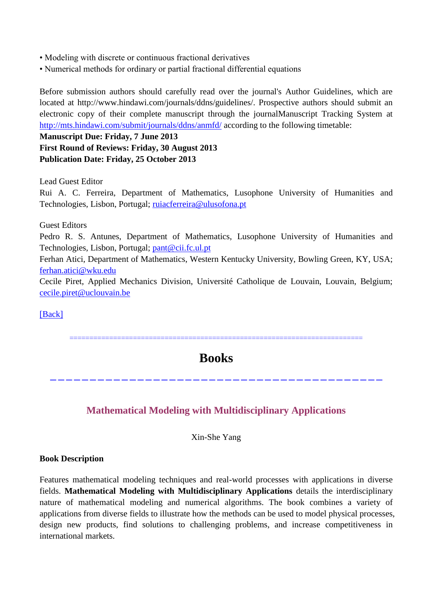- Modeling with discrete or continuous fractional derivatives
- Numerical methods for ordinary or partial fractional differential equations

Before submission authors should carefully read over the journal's Author Guidelines, which are located at http://www.hindawi.com/journals/ddns/guidelines/. Prospective authors should submit an electronic copy of their complete manuscript through the journalManuscript Tracking System at <http://mts.hindawi.com/submit/journals/ddns/anmfd/> according to the following timetable:

**Manuscript Due: Friday, 7 June 2013 First Round of Reviews: Friday, 30 August 2013 Publication Date: Friday, 25 October 2013**

Lead Guest Editor

Rui A. C. Ferreira, Department of Mathematics, Lusophone University of Humanities and Technologies, Lisbon, Portugal; [ruiacferreira@ulusofona.pt](mailto:ruiacferreira@ulusofona.pt)

Guest Editors

Pedro R. S. Antunes, Department of Mathematics, Lusophone University of Humanities and Technologies, Lisbon, Portugal; [pant@cii.fc.ul.pt](mailto:pant@cii.fc.ul.pt)

Ferhan Atici, Department of Mathematics, Western Kentucky University, Bowling Green, KY, USA; [ferhan.atici@wku.edu](mailto:ferhan.atici@wku.edu)

Cecile Piret, Applied Mechanics Division, Université Catholique de Louvain, Louvain, Belgium; [cecile.piret@uclouvain.be](mailto:cecile.piret@uclouvain.be)

[\[Back\]](file:///C:/Users/SHUAI/AppData/Local/Microsoft/Windows/Temporary%20Internet%20Files/FrontPageTempDir/pvw6.htm%231)

==========================================================================

### **Books**

------------------------------------------

#### **Mathematical Modeling with Multidisciplinary Applications**

Xin-She Yang

#### **Book Description**

Features mathematical modeling techniques and real-world processes with applications in diverse fields. **Mathematical Modeling with Multidisciplinary Applications** details the interdisciplinary nature of mathematical modeling and numerical algorithms. The book combines a variety of applications from diverse fields to illustrate how the methods can be used to model physical processes, design new products, find solutions to challenging problems, and increase competitiveness in international markets.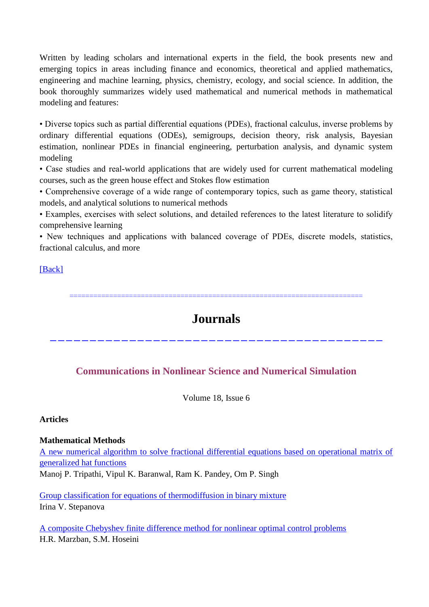Written by leading scholars and international experts in the field, the book presents new and emerging topics in areas including finance and economics, theoretical and applied mathematics, engineering and machine learning, physics, chemistry, ecology, and social science. In addition, the book thoroughly summarizes widely used mathematical and numerical methods in mathematical modeling and features:

• Diverse topics such as partial differential equations (PDEs), fractional calculus, inverse problems by ordinary differential equations (ODEs), semigroups, decision theory, risk analysis, Bayesian estimation, nonlinear PDEs in financial engineering, perturbation analysis, and dynamic system modeling

• Case studies and real-world applications that are widely used for current mathematical modeling courses, such as the green house effect and Stokes flow estimation

• Comprehensive coverage of a wide range of contemporary topics, such as game theory, statistical models, and analytical solutions to numerical methods

• Examples, exercises with select solutions, and detailed references to the latest literature to solidify comprehensive learning

• New techniques and applications with balanced coverage of PDEs, discrete models, statistics, fractional calculus, and more

#### [\[Back\]](file:///C:/Users/SHUAI/AppData/Local/Microsoft/Windows/Temporary%20Internet%20Files/FrontPageTempDir/pvw6.htm%231)

==========================================================================

## **Journals**

------------------------------------------

#### **[Communications in Nonlinear Science and Numerical Simulation](http://www.sciencedirect.com/science/journal/10075704)**

Volume 18, Issue 6

#### **Articles**

#### **Mathematical Methods**

[A new numerical algorithm to solve fractional differential equations based on operational matrix of](http://www.sciencedirect.com/science/article/pii/S1007570412004972)  [generalized hat functions](http://www.sciencedirect.com/science/article/pii/S1007570412004972)

Manoj P. Tripathi, Vipul K. Baranwal, Ram K. Pandey, Om P. Singh

[Group classification for equations of thermodiffusion in binary mixture](http://www.sciencedirect.com/science/article/pii/S1007570412004960) Irina V. Stepanova

[A composite Chebyshev finite difference method for nonlinear optimal control problems](http://www.sciencedirect.com/science/article/pii/S1007570412004959) H.R. Marzban, S.M. Hoseini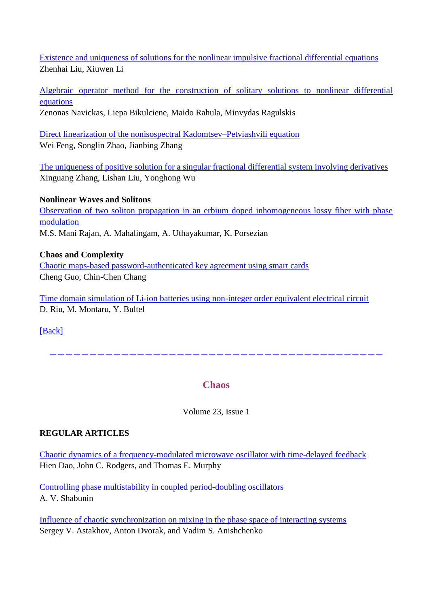[Existence and uniqueness of solutions for the nonlinear impulsive fractional differential equations](http://www.sciencedirect.com/science/article/pii/S1007570412004935) Zhenhai Liu, Xiuwen Li

[Algebraic operator method for the construction of solitary solutions to nonlinear differential](http://www.sciencedirect.com/science/article/pii/S1007570412004923)  [equations](http://www.sciencedirect.com/science/article/pii/S1007570412004923) Zenonas Navickas, Liepa Bikulciene, Maido Rahula, Minvydas Ragulskis

[Direct linearization of the nonisospectral Kadomtsev–Petviashvili equation](http://www.sciencedirect.com/science/article/pii/S1007570412004765) Wei Feng, Songlin Zhao, Jianbing Zhang

[The uniqueness of positive solution for a singular fractional differential system involving derivatives](http://www.sciencedirect.com/science/article/pii/S1007570412004157) Xinguang Zhang, Lishan Liu, Yonghong Wu

#### **Nonlinear Waves and Solitons**

[Observation of two soliton propagation in an erbium doped inhomogeneous lossy fiber with phase](http://www.sciencedirect.com/science/article/pii/S1007570412004777)  [modulation](http://www.sciencedirect.com/science/article/pii/S1007570412004777) M.S. Mani Rajan, A. Mahalingam, A. Uthayakumar, K. Porsezian

#### **Chaos and Complexity**

[Chaotic maps-based password-authenticated key agreement using smart cards](http://www.sciencedirect.com/science/article/pii/S1007570412004698) Cheng Guo, Chin-Chen Chang

[Time domain simulation of Li-ion batteries using non-integer order equivalent electrical circuit](http://www.sciencedirect.com/science/article/pii/S1007570412002936) D. Riu, M. Montaru, Y. Bultel

[\[Back\]](file:///C:/Users/SHUAI/AppData/Local/Microsoft/Windows/Temporary%20Internet%20Files/FrontPageTempDir/pvw6.htm%231)

------------------------------------------

#### **[Chaos](http://chaos.aip.org/resource/1/chaoeh)**

Volume 23, Issue 1

#### **REGULAR ARTICLES**

[Chaotic dynamics of a frequency-modulated microwave oscillator with time-delayed feedback](http://chaos.aip.org/resource/1/chaoeh/v23/i1/p013101_s1) Hien Dao, John C. Rodgers, and Thomas E. Murphy

[Controlling phase multistability in coupled period-doubling oscillators](http://chaos.aip.org/resource/1/chaoeh/v23/i1/p013102_s1) A. V. Shabunin

[Influence of chaotic synchronization on mixing in the phase space of interacting systems](http://chaos.aip.org/resource/1/chaoeh/v23/i1/p013103_s1) Sergey V. Astakhov, Anton Dvorak, and Vadim S. Anishchenko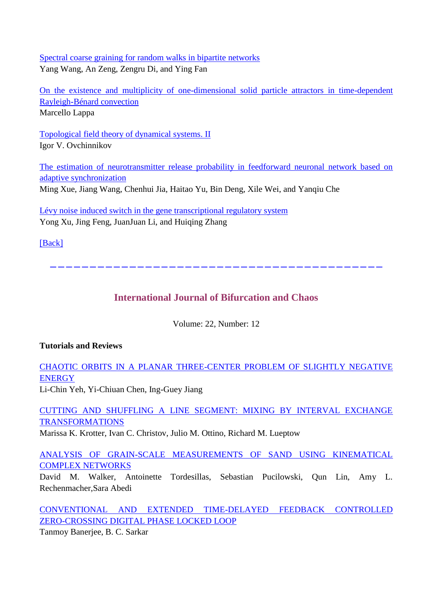[Spectral coarse graining for random walks in bipartite networks](http://chaos.aip.org/resource/1/chaoeh/v23/i1/p013104_s1) Yang Wang, An Zeng, Zengru Di, and Ying Fan

[On the existence and multiplicity of one-dimensional solid particle attractors in time-dependent](http://chaos.aip.org/resource/1/chaoeh/v23/i1/p013105_s1)  [Rayleigh-Bénard convection](http://chaos.aip.org/resource/1/chaoeh/v23/i1/p013105_s1) Marcello Lappa

[Topological field theory of dynamical systems. II](http://chaos.aip.org/resource/1/chaoeh/v23/i1/p013108_s1) Igor V. Ovchinnikov

[The estimation of neurotransmitter release probability in feedforward neuronal network based on](http://chaos.aip.org/resource/1/chaoeh/v23/i1/p013109_s1)  [adaptive synchronization](http://chaos.aip.org/resource/1/chaoeh/v23/i1/p013109_s1) Ming Xue, Jiang Wang, Chenhui Jia, Haitao Yu, Bin Deng, Xile Wei, and Yanqiu Che

[Lévy noise induced switch in the gene transcriptional regulatory system](http://chaos.aip.org/resource/1/chaoeh/v23/i1/p013110_s1) Yong Xu, Jing Feng, JuanJuan Li, and Huiqing Zhang

[\[Back\]](file:///C:/Users/SHUAI/AppData/Local/Microsoft/Windows/Temporary%20Internet%20Files/FrontPageTempDir/pvw6.htm%231)

------------------------------------------

### **[International Journal of Bifurcation and Chaos](http://www.worldscientific.com/worldscinet/ijbc)**

Volume: 22, Number: 12

#### **Tutorials and Reviews**

[CHAOTIC ORBITS IN A PLANAR THREE-CENTER PROBLEM OF SLIGHTLY NEGATIVE](http://www.worldscientific.com/doi/abs/10.1142/S0218127412300406)  **[ENERGY](http://www.worldscientific.com/doi/abs/10.1142/S0218127412300406)** 

Li-Chin Yeh, Yi-Chiuan Chen, Ing-Guey Jiang

[CUTTING AND SHUFFLING A LINE SEGMENT: MIXING BY INTERVAL EXCHANGE](http://www.worldscientific.com/doi/abs/10.1142/S0218127412300418)  [TRANSFORMATIONS](http://www.worldscientific.com/doi/abs/10.1142/S0218127412300418)

Marissa K. Krotter, Ivan C. Christov, Julio M. Ottino, Richard M. Lueptow

[ANALYSIS OF GRAIN-SCALE MEASUREMENTS OF SAND USING KINEMATICAL](http://www.worldscientific.com/doi/abs/10.1142/S021812741230042X)  [COMPLEX NETWORKS](http://www.worldscientific.com/doi/abs/10.1142/S021812741230042X)

David M. Walker, Antoinette Tordesillas, Sebastian Pucilowski, Qun Lin, Amy L. Rechenmacher,Sara Abedi

[CONVENTIONAL AND EXTENDED TIME-DELAYED FEEDBACK CONTROLLED](http://www.worldscientific.com/doi/abs/10.1142/S0218127412300443)  [ZERO-CROSSING DIGITAL PHASE LOCKED LOOP](http://www.worldscientific.com/doi/abs/10.1142/S0218127412300443)

Tanmoy Banerjee, B. C. Sarkar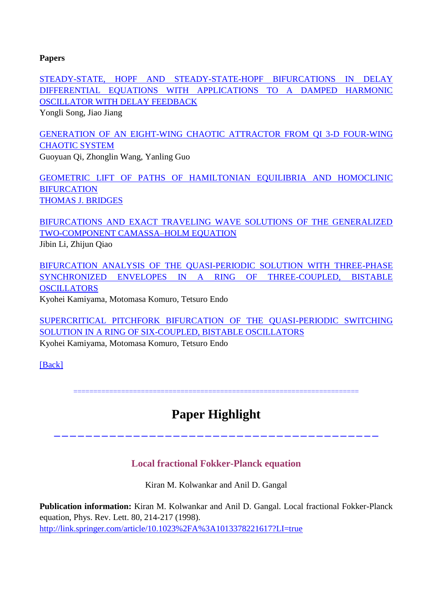#### **Papers**

[STEADY-STATE, HOPF AND STEADY-STATE-HOPF BIFURCATIONS IN DELAY](http://www.worldscientific.com/doi/abs/10.1142/S0218127412502860)  [DIFFERENTIAL EQUATIONS WITH APPLICATIONS TO A DAMPED HARMONIC](http://www.worldscientific.com/doi/abs/10.1142/S0218127412502860)  [OSCILLATOR WITH DELAY FEEDBACK](http://www.worldscientific.com/doi/abs/10.1142/S0218127412502860)

Yongli Song, Jiao Jiang

[GENERATION OF AN EIGHT-WING CHAOTIC ATTRACTOR FROM QI 3-D FOUR-WING](http://www.worldscientific.com/doi/abs/10.1142/S0218127412502872)  [CHAOTIC SYSTEM](http://www.worldscientific.com/doi/abs/10.1142/S0218127412502872)

Guoyuan Qi, Zhonglin Wang, Yanling Guo

[GEOMETRIC LIFT OF PATHS OF HAMILTONIAN EQUILIBRIA AND HOMOCLINIC](http://www.worldscientific.com/doi/abs/10.1142/S021812741250304X)  **[BIFURCATION](http://www.worldscientific.com/doi/abs/10.1142/S021812741250304X)** [THOMAS J. BRIDGES](http://www.worldscientific.com/action/doSearch?action=runSearch&type=advanced&result=true&prevSearch=%2Bauthorsfield%3A(BRIDGES%2C+THOMAS+J.))

[BIFURCATIONS AND EXACT TRAVELING WAVE SOLUTIONS OF THE GENERALIZED](http://www.worldscientific.com/doi/abs/10.1142/S0218127412503051)  [TWO-COMPONENT CAMASSA–HOLM EQUATION](http://www.worldscientific.com/doi/abs/10.1142/S0218127412503051) Jibin Li, Zhijun Qiao

[BIFURCATION ANALYSIS OF THE QUASI-PERIODIC SOLUTION WITH THREE-PHASE](http://www.worldscientific.com/doi/abs/10.1142/S0218127412503087)  [SYNCHRONIZED ENVELOPES IN A RING OF THREE-COUPLED, BISTABLE](http://www.worldscientific.com/doi/abs/10.1142/S0218127412503087)  **[OSCILLATORS](http://www.worldscientific.com/doi/abs/10.1142/S0218127412503087)** 

Kyohei Kamiyama, Motomasa Komuro, Tetsuro Endo

[SUPERCRITICAL PITCHFORK BIFURCATION OF THE QUASI-PERIODIC SWITCHING](http://www.worldscientific.com/doi/abs/10.1142/S0218127412503099)  [SOLUTION IN A RING OF SIX-COUPLED, BISTABLE OSCILLATORS](http://www.worldscientific.com/doi/abs/10.1142/S0218127412503099)

Kyohei Kamiyama, Motomasa Komuro, Tetsuro Endo

[\[Back\]](file:///C:/Users/SHUAI/AppData/Local/Microsoft/Windows/Temporary%20Internet%20Files/FrontPageTempDir/pvw6.htm%231)

========================================================================

# **Paper Highlight**

-----------------------------------------

### **Local fractional Fokker-Planck equation**

Kiran M. Kolwankar and Anil D. Gangal

**Publication information:** Kiran M. Kolwankar and Anil D. Gangal. Local fractional Fokker-Planck equation, Phys. Rev. Lett. 80, 214-217 (1998). [http://link.springer.com/article/10.1023%2FA%3A1013378221617?LI=true](http://link.springer.com/article/10.1023/A:1013378221617?LI=true)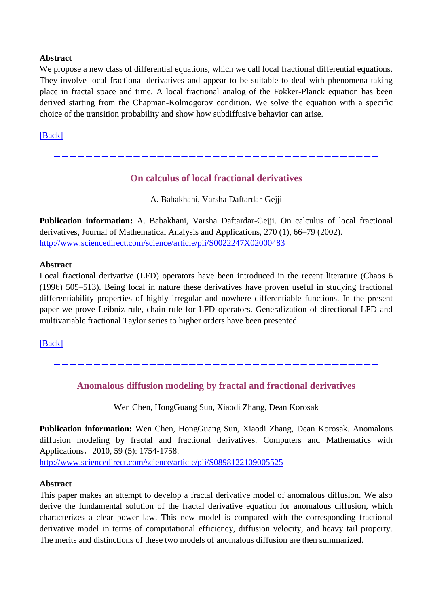#### **Abstract**

We propose a new class of differential equations, which we call local fractional differential equations. They involve local fractional derivatives and appear to be suitable to deal with phenomena taking place in fractal space and time. A local fractional analog of the Fokker-Planck equation has been derived starting from the Chapman-Kolmogorov condition. We solve the equation with a specific choice of the transition probability and show how subdiffusive behavior can arise.

[\[Back\]](file:///C:/Users/SHUAI/AppData/Local/Microsoft/Windows/Temporary%20Internet%20Files/FrontPageTempDir/pvw6.htm%231)

#### **On calculus of local fractional derivatives**

-----------------------------------------

A. Babakhani, Varsha Daftardar-Gejji

**Publication information:** A. Babakhani, Varsha Daftardar-Gejji. On calculus of local fractional derivatives, Journal of Mathematical Analysis and Applications, 270 (1), 66–79 (2002). <http://www.sciencedirect.com/science/article/pii/S0022247X02000483>

#### **Abstract**

Local fractional derivative (LFD) operators have been introduced in the recent literature (Chaos 6 (1996) 505–513). Being local in nature these derivatives have proven useful in studying fractional differentiability properties of highly irregular and nowhere differentiable functions. In the present paper we prove Leibniz rule, chain rule for LFD operators. Generalization of directional LFD and multivariable fractional Taylor series to higher orders have been presented.

[\[Back\]](file:///C:/Users/SHUAI/AppData/Local/Microsoft/Windows/Temporary%20Internet%20Files/FrontPageTempDir/pvw6.htm%231)

**Anomalous diffusion modeling by fractal and fractional derivatives**

-----------------------------------------

Wen Chen, HongGuang Sun, Xiaodi Zhang, Dean Korosak

**Publication information:** Wen Chen, HongGuang Sun, Xiaodi Zhang, Dean Korosak. Anomalous diffusion modeling by fractal and fractional derivatives. Computers and Mathematics with Applications, 2010, 59 (5): 1754-1758.

<http://www.sciencedirect.com/science/article/pii/S0898122109005525>

#### **Abstract**

This paper makes an attempt to develop a fractal derivative model of anomalous diffusion. We also derive the fundamental solution of the fractal derivative equation for anomalous diffusion, which characterizes a clear power law. This new model is compared with the corresponding fractional derivative model in terms of computational efficiency, diffusion velocity, and heavy tail property. The merits and distinctions of these two models of anomalous diffusion are then summarized.